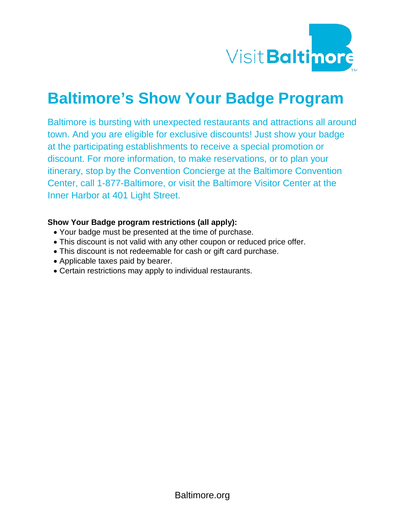

# **Baltimore's Show Your Badge Program**

Baltimore is bursting with unexpected restaurants and attractions all around town. And you are eligible for exclusive discounts! Just show your badge at the participating establishments to receive a special promotion or discount. For more information, to make reservations, or to plan your itinerary, stop by the Convention Concierge at the Baltimore Convention Center, call 1-877-Baltimore, or visit the Baltimore Visitor Center at the Inner Harbor at 401 Light Street.

#### **Show Your Badge program restrictions (all apply):**

- Your badge must be presented at the time of purchase.
- This discount is not valid with any other coupon or reduced price offer.
- This discount is not redeemable for cash or gift card purchase.
- Applicable taxes paid by bearer.
- Certain restrictions may apply to individual restaurants.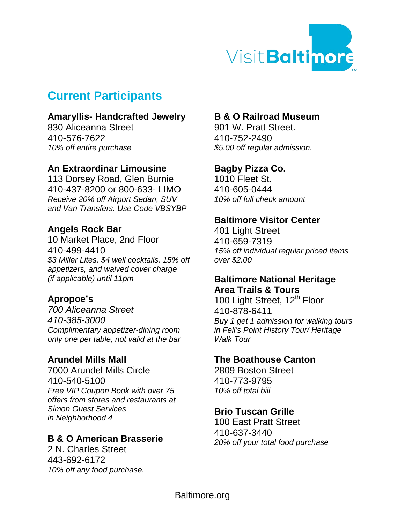

# **Current Participants**

#### **Amaryllis- Handcrafted Jewelry**

830 Aliceanna Street 410-576-7622 *10% off entire purchase*

# **An Extraordinar Limousine**

113 Dorsey Road, Glen Burnie 410-437-8200 or 800-633- LIMO *Receive 20% off Airport Sedan, SUV and Van Transfers. Use Code VBSYBP*

# **Angels Rock Bar**

10 Market Place, 2nd Floor 410-499-4410 *\$3 Miller Lites. \$4 well cocktails, 15% off appetizers, and waived cover charge (if applicable) until 11pm*

# **Apropoe's**

*700 Aliceanna Street 410-385-3000 Complimentary appetizer-dining room only one per table, not valid at the bar*

#### **Arundel Mills Mall**

7000 Arundel Mills Circle 410-540-5100 *Free VIP Coupon Book with over 75 offers from stores and restaurants at Simon Guest Services in Neighborhood 4*

# **B & O American Brasserie**

2 N. Charles Street 443-692-6172 *10% off any food purchase.*

# **B & O Railroad Museum**

901 W. Pratt Street. 410-752-2490 *\$5.00 off regular admission.*

# **Bagby Pizza Co.**

1010 Fleet St. 410-605-0444 *10% off full check amount*

#### **Baltimore Visitor Center**

401 Light Street 410-659-7319 *15% off individual regular priced items over \$2.00*

#### **Baltimore National Heritage Area Trails & Tours**

100 Light Street, 12<sup>th</sup> Floor 410-878-6411 *Buy 1 get 1 admission for walking tours in Fell's Point History Tour/ Heritage Walk Tour*

#### **The Boathouse Canton**

2809 Boston Street 410-773-9795 *10% off total bill*

# **Brio Tuscan Grille**

100 East Pratt Street 410-637-3440 *20% off your total food purchase*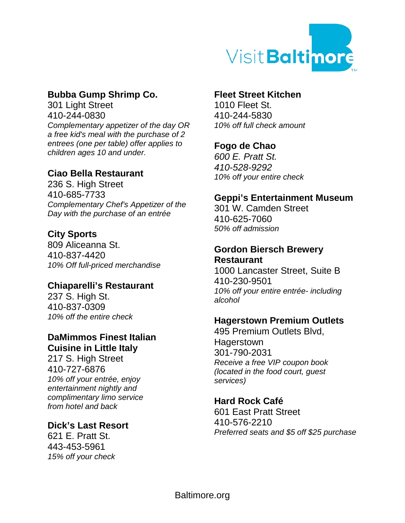

# **Bubba Gump Shrimp Co.**

301 Light Street 410-244-0830 *Complementary appetizer of the day OR a free kid's meal with the purchase of 2 entrees (one per table) offer applies to children ages 10 and under.*

#### **Ciao Bella Restaurant**

236 S. High Street 410-685-7733 *Complementary Chef's Appetizer of the Day with the purchase of an entrée* 

# **City Sports**

809 Aliceanna St. 410-837-4420 *10% Off full-priced merchandise*

#### **Chiaparelli's Restaurant**

237 S. High St. 410-837-0309 *10% off the entire check*

# **DaMimmos Finest Italian Cuisine in Little Italy**

217 S. High Street 410-727-6876 *10% off your entrée, enjoy entertainment nightly and complimentary limo service from hotel and back*

#### **Dick's Last Resort**

621 E. Pratt St. 443-453-5961 *15% off your check*

#### **Fleet Street Kitchen**

1010 Fleet St. 410-244-5830 *10% off full check amount*

# **Fogo de Chao**

*600 E. Pratt St. 410-528-9292 10% off your entire check*

#### **Geppi's Entertainment Museum**

301 W. Camden Street 410-625-7060 *50% off admission* 

#### **Gordon Biersch Brewery Restaurant**

1000 Lancaster Street, Suite B 410-230-9501 *10% off your entire entrée- including alcohol* 

#### **Hagerstown Premium Outlets**

495 Premium Outlets Blvd, **Hagerstown** 301-790-2031 *Receive a free VIP coupon book (located in the food court, guest services)*

#### **Hard Rock Café**

601 East Pratt Street 410-576-2210 *Preferred seats and \$5 off \$25 purchase*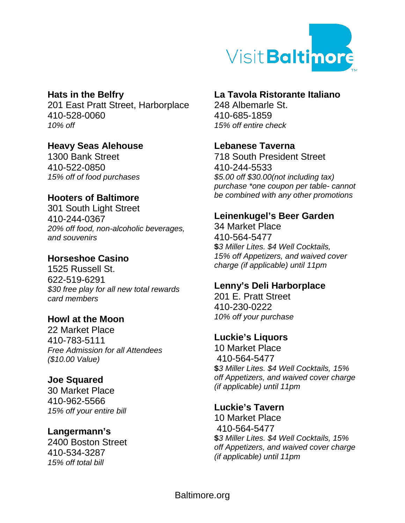

# **Hats in the Belfry**

201 East Pratt Street, Harborplace 410-528-0060 *10% off* 

# **Heavy Seas Alehouse**

1300 Bank Street 410-522-0850 *15% off of food purchases*

# **Hooters of Baltimore**

301 South Light Street 410-244-0367 *20% off food, non-alcoholic beverages, and souvenirs*

# **Horseshoe Casino**

1525 Russell St. 622-519-6291 *\$30 free play for all new total rewards card members*

#### **Howl at the Moon**

22 Market Place 410-783-5111 *Free Admission for all Attendees (\$10.00 Value)*

#### **Joe Squared**

30 Market Place 410-962-5566 *15% off your entire bill*

#### **Langermann's**

2400 Boston Street 410-534-3287 *15% off total bill*

#### **La Tavola Ristorante Italiano**

248 Albemarle St. 410-685-1859 *15% off entire check*

#### **Lebanese Taverna**

718 South President Street 410-244-5533 *\$5.00 off \$30.00(not including tax) purchase \*one coupon per table- cannot be combined with any other promotions*

# **Leinenkugel's Beer Garden**

34 Market Place 410-564-5477 **\$***3 Miller Lites. \$4 Well Cocktails, 15% off Appetizers, and waived cover charge (if applicable) until 11pm*

#### **Lenny's Deli Harborplace**

201 E. Pratt Street 410-230-0222 *10% off your purchase*

#### **Luckie's Liquors**

10 Market Place 410-564-5477 **\$***3 Miller Lites. \$4 Well Cocktails, 15% off Appetizers, and waived cover charge (if applicable) until 11pm*

#### **Luckie's Tavern**

10 Market Place 410-564-5477 **\$***3 Miller Lites. \$4 Well Cocktails, 15% off Appetizers, and waived cover charge (if applicable) until 11pm*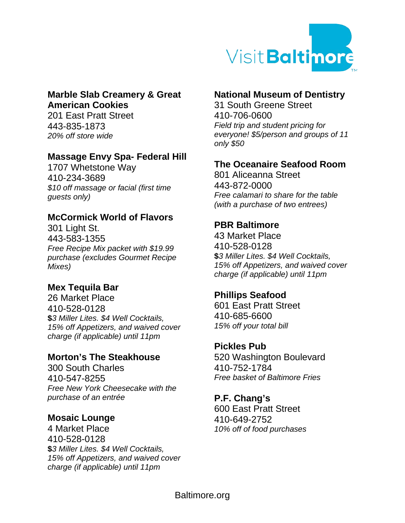

#### **Marble Slab Creamery & Great American Cookies**

201 East Pratt Street 443-835-1873 *20% off store wide*

#### **Massage Envy Spa- Federal Hill**

1707 Whetstone Way 410-234-3689 *\$10 off massage or facial (first time guests only)*

#### **McCormick World of Flavors**

301 Light St. 443-583-1355 *Free Recipe Mix packet with \$19.99 purchase (excludes Gourmet Recipe Mixes)*

# **Mex Tequila Bar**

26 Market Place 410-528-0128 **\$***3 Miller Lites. \$4 Well Cocktails, 15% off Appetizers, and waived cover charge (if applicable) until 11pm*

# **Morton's The Steakhouse**

300 South Charles 410-547-8255 *Free New York Cheesecake with the purchase of an entrée* 

#### **Mosaic Lounge**

4 Market Place 410-528-0128 **\$***3 Miller Lites. \$4 Well Cocktails, 15% off Appetizers, and waived cover charge (if applicable) until 11pm*

# **National Museum of Dentistry**

31 South Greene Street 410-706-0600 *Field trip and student pricing for everyone! \$5/person and groups of 11 only \$50*

# **The Oceanaire Seafood Room**

801 Aliceanna Street 443-872-0000 *Free calamari to share for the table (with a purchase of two entrees)*

# **PBR Baltimore**

43 Market Place 410-528-0128 **\$***3 Miller Lites. \$4 Well Cocktails, 15% off Appetizers, and waived cover charge (if applicable) until 11pm*

#### **Phillips Seafood**

601 East Pratt Street 410-685-6600 *15% off your total bill*

#### **Pickles Pub**

520 Washington Boulevard 410-752-1784 *Free basket of Baltimore Fries* 

#### **P.F. Chang's**

600 East Pratt Street 410-649-2752 *10% off of food purchases*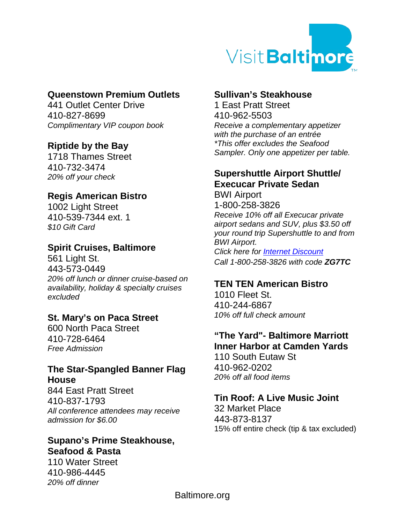

# **Queenstown Premium Outlets**

441 Outlet Center Drive 410-827-8699 *Complimentary VIP coupon book*

#### **Riptide by the Bay**

1718 Thames Street 410-732-3474 *20% off your check*

#### **Regis American Bistro**

1002 Light Street 410-539-7344 ext. 1 *\$10 Gift Card* 

# **Spirit Cruises, Baltimore**

561 Light St. 443-573-0449 *20% off lunch or dinner cruise-based on availability, holiday & specialty cruises excluded*

#### **St. Mary's on Paca Street**

600 North Paca Street 410-728-6464 *Free Admission*

#### **The Star-Spangled Banner Flag House**

844 East Pratt Street 410-837-1793 *All conference attendees may receive admission for \$6.00*

# **Supano's Prime Steakhouse, Seafood & Pasta**

110 Water Street 410-986-4445 *20% off dinner*

#### **Sullivan's Steakhouse**

1 East Pratt Street 410-962-5503 *Receive a complementary appetizer with the purchase of an entrée \*This offer excludes the Seafood Sampler. Only one appetizer per table.*

# **Supershuttle Airport Shuttle/ Execucar Private Sedan**

BWI Airport 1-800-258-3826 *Receive 10% off all Execucar private airport sedans and SUV, plus \$3.50 off your round trip Supershuttle to and from BWI Airport. Click here for Internet [Discount](http://www.supershuttle.com/default.aspx?GC=ZG7TC) Call 1-800-258-3826 with code ZG7TC*

#### **TEN TEN American Bistro**

1010 Fleet St. 410-244-6867 *10% off full check amount*

#### **"The Yard"- Baltimore Marriott Inner Harbor at Camden Yards**

110 South Eutaw St 410-962-0202 *20% off all food items*

# **Tin Roof: A Live Music Joint**

32 Market Place 443-873-8137 15% off entire check (tip & tax excluded)